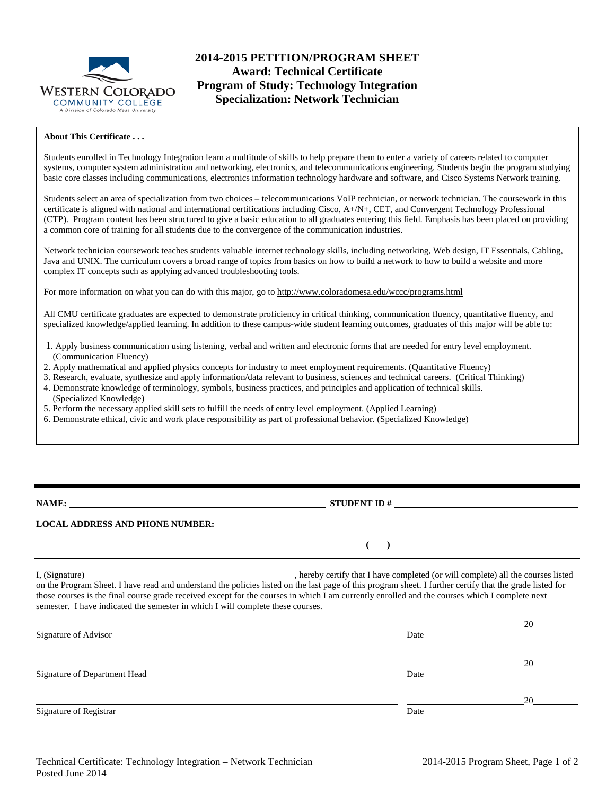

# **2014-2015 PETITION/PROGRAM SHEET Award: Technical Certificate Program of Study: Technology Integration Specialization: Network Technician**

#### **About This Certificate . . .**

Students enrolled in Technology Integration learn a multitude of skills to help prepare them to enter a variety of careers related to computer systems, computer system administration and networking, electronics, and telecommunications engineering. Students begin the program studying basic core classes including communications, electronics information technology hardware and software, and Cisco Systems Network training.

Students select an area of specialization from two choices – telecommunications VoIP technician, or network technician. The coursework in this certificate is aligned with national and international certifications including Cisco, A+/N+, CET, and Convergent Technology Professional (CTP). Program content has been structured to give a basic education to all graduates entering this field. Emphasis has been placed on providing a common core of training for all students due to the convergence of the communication industries.

Network technician coursework teaches students valuable internet technology skills, including networking, Web design, IT Essentials, Cabling, Java and UNIX. The curriculum covers a broad range of topics from basics on how to build a network to how to build a website and more complex IT concepts such as applying advanced troubleshooting tools.

For more information on what you can do with this major, go to http://www.coloradomesa.edu/wccc/programs.html

All CMU certificate graduates are expected to demonstrate proficiency in critical thinking, communication fluency, quantitative fluency, and specialized knowledge/applied learning. In addition to these campus-wide student learning outcomes, graduates of this major will be able to:

- 1. Apply business communication using listening, verbal and written and electronic forms that are needed for entry level employment. (Communication Fluency)
- 2. Apply mathematical and applied physics concepts for industry to meet employment requirements. (Quantitative Fluency)
- 3. Research, evaluate, synthesize and apply information/data relevant to business, sciences and technical careers. (Critical Thinking)
- 4. Demonstrate knowledge of terminology, symbols, business practices, and principles and application of technical skills.
- (Specialized Knowledge) 5. Perform the necessary applied skill sets to fulfill the needs of entry level employment. (Applied Learning)
- 
- 6. Demonstrate ethical, civic and work place responsibility as part of professional behavior. (Specialized Knowledge)

**NAME: STUDENT ID #** 

**( )** 

### **LOCAL ADDRESS AND PHONE NUMBER:**

I, (Signature) , hereby certify that I have completed (or will complete) all the courses listed on the Program Sheet. I have read and understand the policies listed on the last page of this program sheet. I further certify that the grade listed for those courses is the final course grade received except for the courses in which I am currently enrolled and the courses which I complete next semester. I have indicated the semester in which I will complete these courses.

|                              |      | 20 |
|------------------------------|------|----|
| Signature of Advisor         | Date |    |
|                              |      | 20 |
| Signature of Department Head | Date |    |
|                              |      | 20 |
| Signature of Registrar       | Date |    |